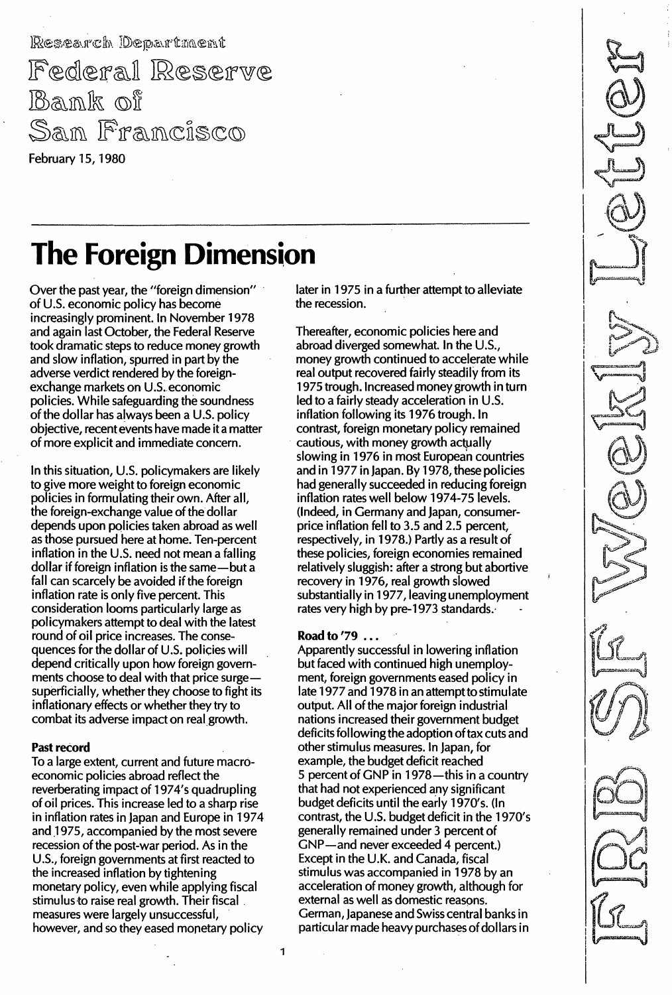Research Department Federal Reserve Bank of San Francisco

February 15, 1980

# The Foreign Dimension

Over the past year, the "foreign dimension" of U.S. economic policy has become increasingly prominent. In November 1978 and again last October, the Federal Reserve took dramatic steps to reduce money growth and slow inflation, spurred in part by the adverse verdict rendered by the foreignexchange markets on U.S. economic policies. While safeguarding the soundness of the dollar has always been a U.S. policy objective, recent events have made it a matter of more explicit and immediate concern.

In this situation, U.S. policymakers are likely to give more weight to foreign economic policies in formulating their own. After all, the foreign-exchange value of the dollar depends upon policies taken abroad as well as those pursued here at home. Ten-percent inflation in the U.S. need not mean a falling dollar if foreign inflation is the same-but a fall can scarcely be avoided if the foreign inflation rate is only five percent. This consideration looms particularly large as policymakers attempt to deal with the latest round of oil price increases. The consequences for the dollar of U.S. policies will depend critically upon how foreign governments choose to deal with that price surgesuperficially, whether they choose to fight its inflationary effects or whether they try to combat its adverse impact on real growth.

### Past record

To a large extent, current and future macroeconomic policies abroad reflect the reverberating impact of 1974's quadrupling of oil prices. This increase led to a sharp rise in inflation rates in Japan and Europe in 1974 and 1975, accompanied by the most severe recession of the post-war period. As in the U.S., foreign governments at first reacted to the increased inflation by tightening monetary policy, even while applying fiscal stimulus to raise real growth. Their fiscal measures were largely unsuccessful, however, and so they eased monetary policy

later in 1975 in a further attempt to alleviate the recession.

Thereafter, economic policies here and abroad diverged somewhat. In the U.s., money growth continued to accelerate while real output recovered fairly steadily from its 1975 trough. Increased money growth in turn led to a fairly steady acceleration in U.s. inflation following its 1976 trough. In contrast, foreign monetary policy remained cautious, with money growth actually slowing in 1976 in most European countries and in 1977 in Japan. By 1978, these policies had generally succeeded in reducing foreign inflation rates well below 1974-75 levels. (Indeed, in Germany and japan, consumerprice inflation fell to 3.5 and 2.5 percent, respectively, in 1978.) Partly as a result of these policies, foreign economies remained relatively sluggish: after a strong but abortive recovery in 1976, real growth slowed substantially in 1977, leaving unemployment rates very high by pre-1973 standards.

# Road to '79 ...

Apparently successful in lowering inflation but faced with continued high unemployment, foreign governments eased policy in late 1977 and 1978 in an attempt to stimulate output. All of the major foreign industrial nations increased their government budget deficits following the adoption of tax cuts and other stimulus measures. In japan, for example, the budget deficit reached 5 percent of GNP in 1978-this in a country that had not experienced any significant budget deficits until the early 1970's. (In contrast, the U.S. budget deficit in the  $1970's$ generally remained under 3 percent of GNP-and never exceeded 4 percent.) Except in the U.K. and Canada, fiscal stimulus was accompanied in 1978 by an acceleration of money growth, although for external as well as domestic reasons. German, japanese and Swiss central banks in particular made heavy purchases of dollars in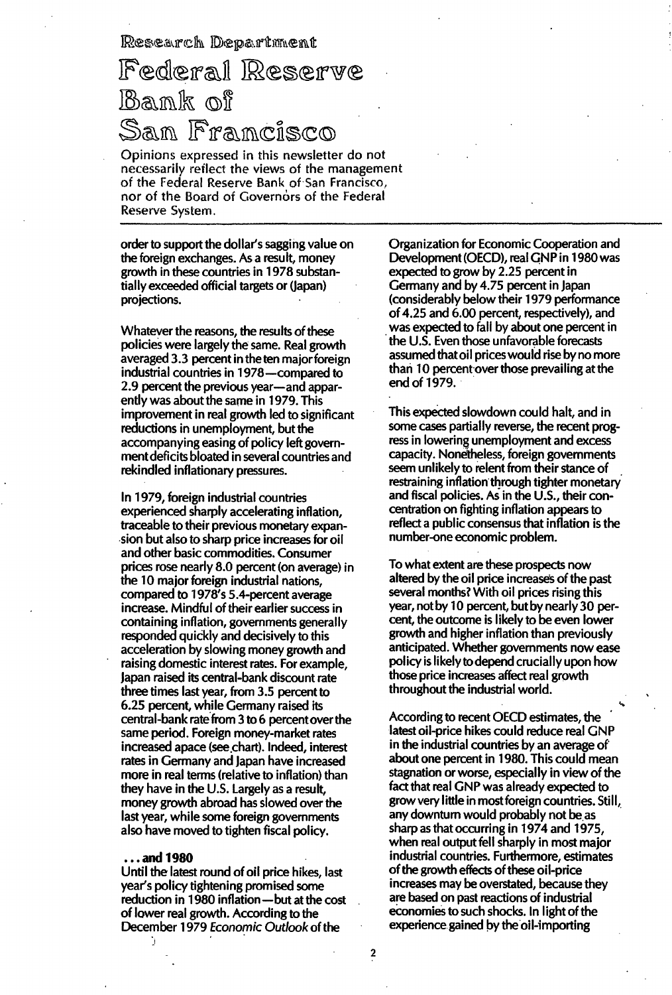Research Department

# Federal Reserve Bank of San Francisco

Opinions expressed in this newsletter do not necessarily reflect the views of the management of the Federal Reserve Bank of San Francisco, nor of the Board of Governors of the Federal Reserve System.

order to support the dollar's sagging value on the foreign exchanges. As a result, money growth in these countries in 1 978 substantially exceeded official targets or (Japan) projections.

Whatever the reasons, the results of these policies were largely the same. Real growth averaged 3.3 percent in the ten major foreign industrial countries in 1 978-compared to 2.9 percent the previous year-and apparently was about the same in 1 979. This improvement in real growth led to significant reductions in unemployment, but the accompanying easing of policy left governmentdeficits bloated in several countries and rekindled inflationary pressures.

In 1 979, foreign industrial countries experienced sharply accelerating inflation, traceable to their previous monetary expansion but also to sharp price increases for oil and other basic commodities. Consumer prices rose nearly 8.0 percent (on average) in the 10 major foreign industrial nations, compared to 1978's SA-percent average increase. Mindful of their earlier success in containing inflation, governments generally responded quickly and decisively to this acceleration by slowing money growth and raising domestic interest rates. For example, Japan raised its central-bank discount rate three times last year, from 3.5 percent to 6.25 percent, while Germany raised its central-bank rate from 3 to 6 percent over the same period. Foreign money-market rates increased apace (see chart). Indeed, interest rates in Germany and Japan have increased more in real terms (relative to inflation) than they have in the U.S. Largely as a result, money growth abroad has slowed over the last year, while some foreign governments also have moved to tighten fiscal policy.

#### ... and 1980

Until the latest round of oil price hikes, last year's policy tightening promised some reduction in 1980 inflation-but at the cost of lower real growth. According to the December 1979 Economic Outlook of the

Organization for Economic Cooperation and Development (OECD), real GNP in 1980 was expected to grow by 2.25 percent in Germany and by 4.75 percent in Japan (considerably below their 1 979 performance of 4.25 and 6.00 percent, respectively), and was expected to fall by about one percent in the U.S. Even those unfavorable forecasts assumed thatoil prices would rise by no more than 10 percent over those prevailing at the end of 1979.

This expected slowdown could halt, and in some cases partially reverse, the recent progress in lowering unemployment and excess capacity. Nonetheless, foreign governments seem unlikely to relent from their stance of restraining inflation through tighter monetary and fiscal policies. As in the U.s., their concentration on fighting inflation appears to reflect a public consensus that inflation is the number-one economic problem.

To what extent are these prospects now altered by the oil price increases of the past several months? With oil prices rising this year, not by 10 percent, but by nearly 30 percent, the outcome is likely to be even lower growth and higher inflation than previously anticipated. Whether governments now ease policy is likely to depend crucially upon how those price increases affect real growth throughout the industrial world.

According to recent OECD estimates, the latest oil-price hikes could reduce real GNP in the industrial countries by an average of about one percent in 1980. This could mean stagnation or worse, especially in view of the fact that real GNP was already expected to grow very little in most foreign countries. Still, any downturn would probably not be as sharp as that occurring in 1974 and 1975, when real output fell sharply in most major industrial countries. Furthermore, estimates of the growth effects of these oil-price increases may be overstated, because they are based on past reactions of industrial economies to such shocks. In light of the experience gained by the oil-'importing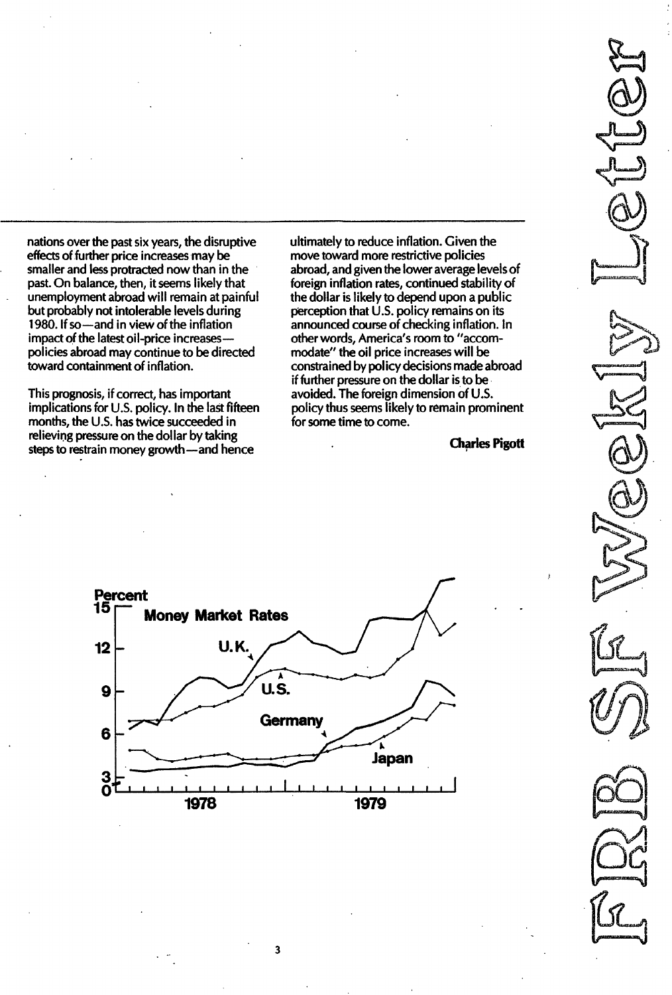nations over the past six years, the disruptive effects of further price increases may be smaller and less protracted now than in the past. On balance, then, it seems likely that unemployment abroad will remain at painful but probably not intolerable levels during 1980. If so-and in view of the inflation impact of the latest oil-price increasespolicies abroad may continue to be directed toward containment of inflation.

This prognosis, if correct, has important implications for U.S. policy. In the last fifteen months, the U.S. has twice succeeded in relieving pressure on the dollar by taking steps to restrain money growth-and hence

ultimately to reduce inflation. Given the move toward more restrictive policies abroad, and given the lower average levels of foreign inflation rates, continued stability of the dollar is likely to depend upon a public perception that  $U.S.$  policy remains on its announced course of checking inflation. In other words, America's room to "accommodate" the oil price increases will be constrained by policy decisions made abroad if further pressure on the dollar is to be avoided. The foreign dimension of U.S. policy thus seems likely to remain prominent for some time to come.

Charles Pigott